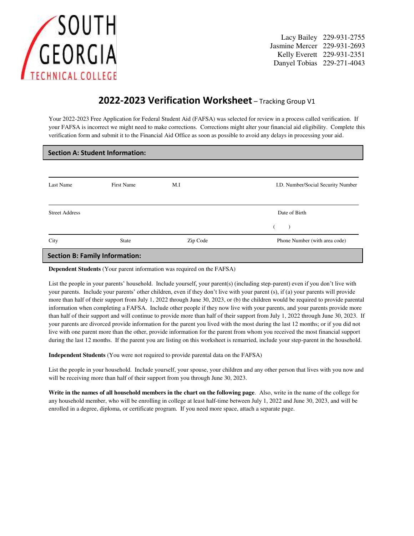

Lacy Bailey 229-931-2755 Jasmine Mercer 229-931-2693 Danyel Tobias 229-271-4043

## **2022-2023 Verification Worksheet** – Tracking Group V1

Your 2022-2023 Free Application for Federal Student Aid (FAFSA) was selected for review in a process called verification. If your FAFSA is incorrect we might need to make corrections. Corrections might alter your financial aid eligibility. Complete this verification form and submit it to the Financial Aid Office as soon as possible to avoid any delays in processing your aid.

| <b>Section A: Student Information:</b> |                   |          |                                    |  |  |  |  |
|----------------------------------------|-------------------|----------|------------------------------------|--|--|--|--|
|                                        |                   |          |                                    |  |  |  |  |
| Last Name                              | <b>First Name</b> | M.I      | I.D. Number/Social Security Number |  |  |  |  |
|                                        |                   |          |                                    |  |  |  |  |
| <b>Street Address</b>                  |                   |          | Date of Birth                      |  |  |  |  |
|                                        |                   |          |                                    |  |  |  |  |
| City                                   | <b>State</b>      | Zip Code | Phone Number (with area code)      |  |  |  |  |
| <b>Section B: Family Information:</b>  |                   |          |                                    |  |  |  |  |
|                                        |                   |          |                                    |  |  |  |  |

**Dependent Students** (Your parent information was required on the FAFSA)

List the people in your parents' household. Include yourself, your parent(s) (including step-parent) even if you don't live with your parents. Include your parents' other children, even if they don't live with your parent (s), if (a) your parents will provide more than half of their support from July 1, 2022 through June 30, 2023, or (b) the children would be required to provide parental information when completing a FAFSA. Include other people if they now live with your parents, and your parents provide more than half of their support and will continue to provide more than half of their support from July 1, 2022 through June 30, 2023. If your parents are divorced provide information for the parent you lived with the most during the last 12 months; or if you did not live with one parent more than the other, provide information for the parent from whom you received the most financial support during the last 12 months. If the parent you are listing on this worksheet is remarried, include your step-parent in the household.

**Independent Students** (You were not required to provide parental data on the FAFSA)

List the people in your household. Include yourself, your spouse, your children and any other person that lives with you now and will be receiving more than half of their support from you through June 30, 2023.

**Write in the names of all household members in the chart on the following page**. Also, write in the name of the college for any household member, who will be enrolling in college at least half-time between July 1, 2022 and June 30, 2023, and will be enrolled in a degree, diploma, or certificate program. If you need more space, attach a separate page.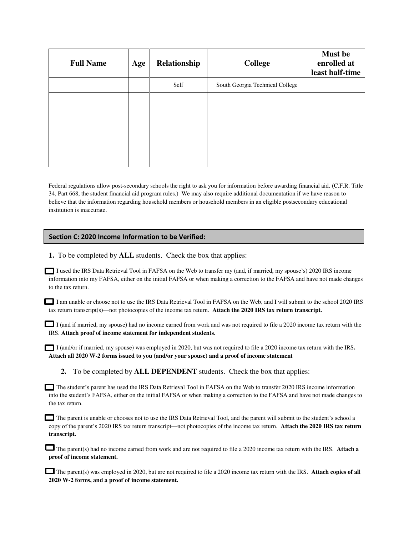| <b>Full Name</b> | Age | Relationship | <b>College</b>                  | <b>Must be</b><br>enrolled at<br>least half-time |
|------------------|-----|--------------|---------------------------------|--------------------------------------------------|
|                  |     | Self         | South Georgia Technical College |                                                  |
|                  |     |              |                                 |                                                  |
|                  |     |              |                                 |                                                  |
|                  |     |              |                                 |                                                  |
|                  |     |              |                                 |                                                  |
|                  |     |              |                                 |                                                  |

Federal regulations allow post-secondary schools the right to ask you for information before awarding financial aid. (C.F.R. Title 34, Part 668, the student financial aid program rules.) We may also require additional documentation if we have reason to believe that the information regarding household members or household members in an eligible postsecondary educational institution is inaccurate.

## **Section C: 2020 Income Information to be Verified:**

**1.** To be completed by **ALL** students. Check the box that applies:

I used the IRS Data Retrieval Tool in FAFSA on the Web to transfer my (and, if married, my spouse's) 2020 IRS income information into my FAFSA, either on the initial FAFSA or when making a correction to the FAFSA and have not made changes to the tax return.

I am unable or choose not to use the IRS Data Retrieval Tool in FAFSA on the Web, and I will submit to the school 2020 IRS tax return transcript(s)—not photocopies of the income tax return. **Attach the 2020 IRS tax return transcript.** 

I (and if married, my spouse) had no income earned from work and was not required to file a 2020 income tax return with the IRS. **Attach proof of income statement for independent students.** 

I (and/or if married, my spouse) was employed in 2020, but was not required to file a 2020 income tax return with the IRS**. Attach all 2020 W-2 forms issued to you (and/or your spouse) and a proof of income statement** 

**2.** To be completed by **ALL DEPENDENT** students. Check the box that applies:

The student's parent has used the IRS Data Retrieval Tool in FAFSA on the Web to transfer 2020 IRS income information into the student's FAFSA, either on the initial FAFSA or when making a correction to the FAFSA and have not made changes to the tax return.

The parent is unable or chooses not to use the IRS Data Retrieval Tool, and the parent will submit to the student's school a copy of the parent's 2020 IRS tax return transcript—not photocopies of the income tax return. **Attach the 2020 IRS tax return transcript.** 

The parent(s) had no income earned from work and are not required to file a 2020 income tax return with the IRS. **Attach a proof of income statement.** 

**The parent(s) was employed in 2020, but are not required to file a 2020 income tax return with the IRS. Attach copies of all 2020 W-2 forms, and a proof of income statement.**